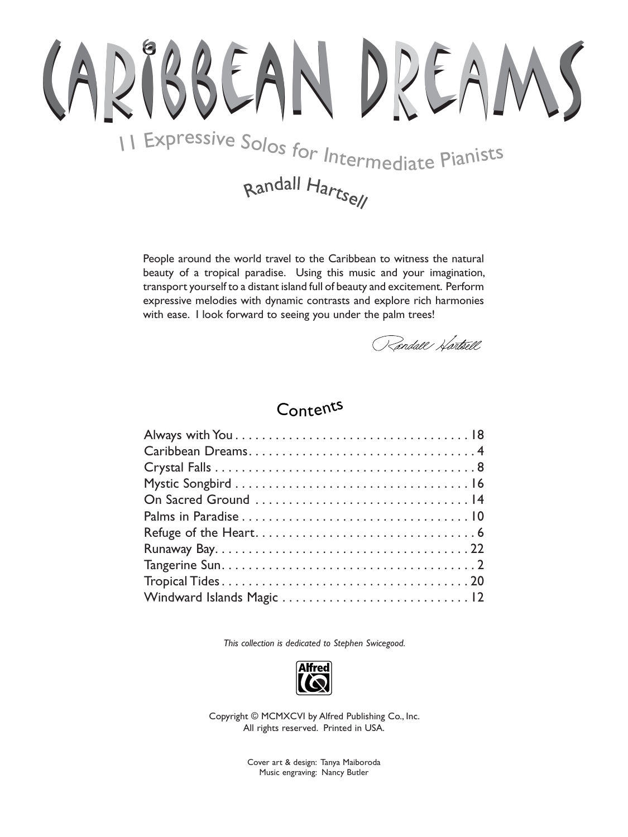## BBEAN DREAN II Expressive Solos for Intermediate Pianists

## Randall Hartsell

People around the world travel to the Caribbean to witness the natural beauty of a tropical paradise. Using this music and your imagination, transport yourself to a distant island full of beauty and excitement. Perform expressive melodies with dynamic contrasts and explore rich harmonies with ease. I look forward to seeing you under the palm trees!

Randall Hartsell

## Contents

This collection is dedicated to Stephen Swicegood.



Copyright © MCMXCVI by Alfred Publishing Co., Inc. All rights reserved. Printed in USA.

> Cover art & design: Tanya Maiboroda Music engraving: Nancy Butler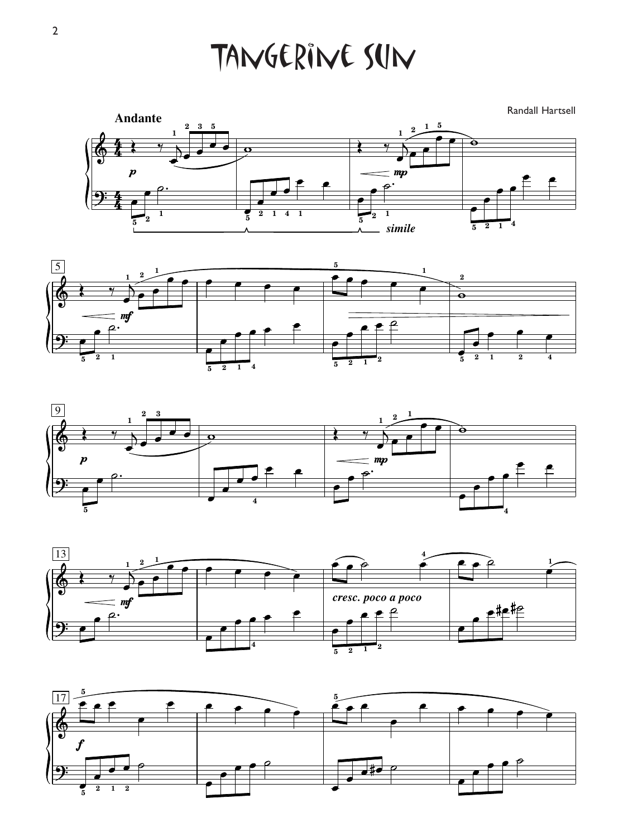Tangerine Sun

Randall Hartsell